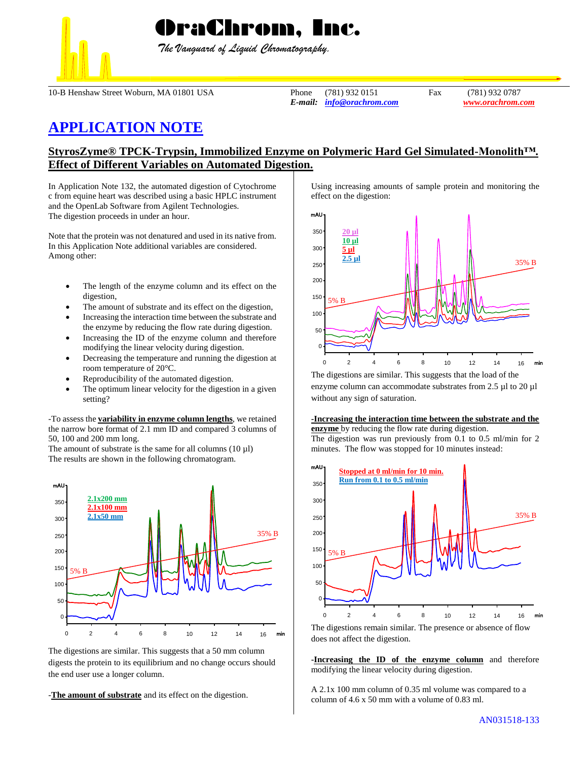

 *The Vanguard of Liquid Chromatography.*

10-B Henshaw Street Woburn, MA 01801 USA Phone (781) 932 0151 Fax (781) 932 0787<br>E-mail: info@orachrom.com www.orachrom.com *E-mail: [info@orachrom.com](mailto:info@orachrom.com) www.orachrom.com*

## **APPLICATION NOTE**

## **StyrosZyme® TPCK-Trypsin, Immobilized Enzyme on Polymeric Hard Gel Simulated-Monolith™. Effect of Different Variables on Automated Digestion.**

In Application Note 132, the automated digestion of Cytochrome c from equine heart was described using a basic HPLC instrument and the OpenLab Software from Agilent Technologies. The digestion proceeds in under an hour.

Note that the protein was not denatured and used in its native from. In this Application Note additional variables are considered. Among other:

- The length of the enzyme column and its effect on the digestion.
- The amount of substrate and its effect on the digestion,
- Increasing the interaction time between the substrate and the enzyme by reducing the flow rate during digestion.
- Increasing the ID of the enzyme column and therefore modifying the linear velocity during digestion.
- Decreasing the temperature and running the digestion at room temperature of 20°C.
- Reproducibility of the automated digestion.
- The optimum linear velocity for the digestion in a given setting?

-To assess the **variability in enzyme column lengths**, we retained the narrow bore format of 2.1 mm ID and compared 3 columns of 50, 100 and 200 mm long.

The amount of substrate is the same for all columns  $(10 \mu l)$ The results are shown in the following chromatogram.



The digestions are similar. This suggests that a 50 mm column digests the protein to its equilibrium and no change occurs should the end user use a longer column.

-**The amount of substrate** and its effect on the digestion.

Using increasing amounts of sample protein and monitoring the effect on the digestion:



The digestions are similar. This suggests that the load of the enzyme column can accommodate substrates from 2.5 µl to 20 µl without any sign of saturation.

## **-Increasing the interaction time between the substrate and the**

**enzyme** by reducing the flow rate during digestion. The digestion was run previously from 0.1 to 0.5 ml/min for 2 minutes. The flow was stopped for 10 minutes instead:



does not affect the digestion.

**-Increasing the ID of the enzyme column** and therefore modifying the linear velocity during digestion.

A 2.1x 100 mm column of 0.35 ml volume was compared to a column of 4.6 x 50 mm with a volume of 0.83 ml.